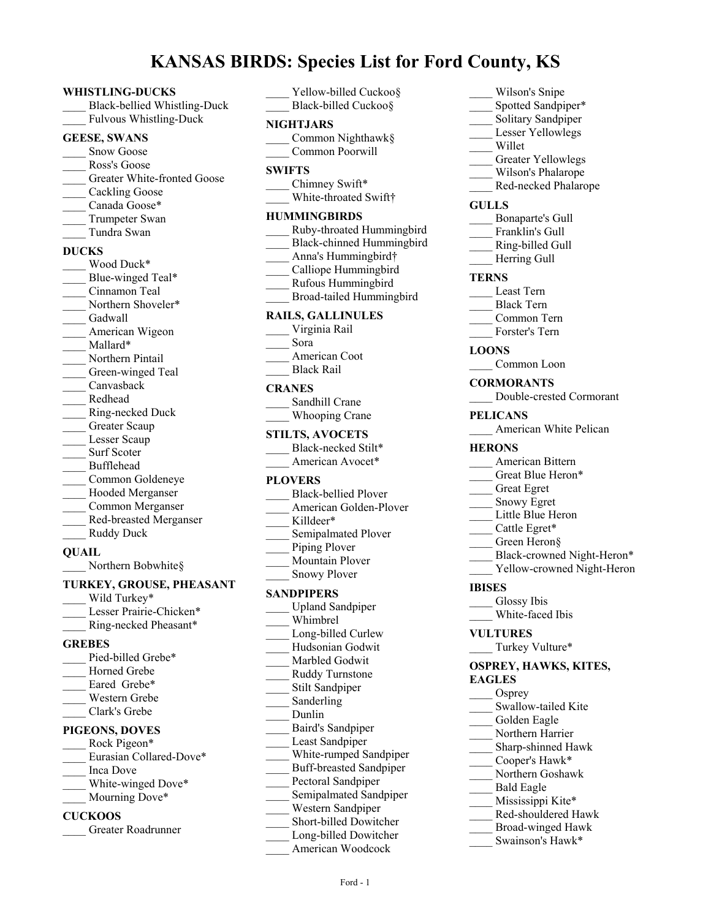# **KANSAS BIRDS: Species List for Ford County, KS**

#### **WHISTLING-DUCKS**

\_\_\_\_ Black-bellied Whistling-Duck Fulvous Whistling-Duck

#### **GEESE, SWANS**

- Snow Goose
- Ross's Goose
- Greater White-fronted Goose
- Cackling Goose
- Canada Goose\*
- Trumpeter Swan
- \_\_\_\_ Tundra Swan

#### **DUCKS**

- Wood Duck\* Blue-winged Teal\* \_\_\_\_ Cinnamon Teal Northern Shoveler\* Gadwall American Wigeon Mallard\* Northern Pintail Green-winged Teal \_\_\_\_ Canvasback \_\_\_\_ Redhead \_\_\_\_ Ring-necked Duck Greater Scaup Lesser Scaup Surf Scoter \_\_\_\_ Bufflehead \_\_\_\_ Common Goldeneye \_\_\_\_ Hooded Merganser \_\_\_\_ Common Merganser
- \_\_\_\_ Red-breasted Merganser
- Ruddy Duck

## **QUAIL**

Northern Bobwhite§

#### **TURKEY, GROUSE, PHEASANT**

Wild Turkey\* Lesser Prairie-Chicken\* \_\_\_\_ Ring-necked Pheasant\*

## **GREBES**

Pied-billed Grebe\* Horned Grebe Eared Grebe\* \_\_\_\_ Western Grebe \_\_\_\_ Clark's Grebe

## **PIGEONS, DOVES**

Rock Pigeon\* Eurasian Collared-Dove\* \_\_\_\_ Inca Dove White-winged Dove\* Mourning Dove\*

## **CUCKOOS**

\_\_\_\_ Greater Roadrunner

Yellow-billed Cuckoo§ Black-billed Cuckoo§

## **NIGHTJARS**

\_\_\_\_ Common Nighthawk§ \_\_\_\_ Common Poorwill

#### **SWIFTS**

Chimney Swift\* White-throated Swift†

#### **HUMMINGBIRDS**

| Ruby-throated Hummingbird |
|---------------------------|
| Black-chinned Hummingbird |
| Anna's Hummingbird†       |
| Calliope Hummingbird      |
| Rufous Hummingbird        |
| Broad-tailed Hummingbird  |
| <b>RAILS, GALLINULES</b>  |
| Virginia Rail             |

- \_\_\_\_ Sora
- American Coot \_\_\_\_ Black Rail

#### **CRANES**

| Sandhill Crane |
|----------------|
| Whooping Crane |

#### **STILTS, AVOCETS**

Black-necked Stilt\* American Avocet\*

## **PLOVERS**

| <b>Black-bellied Ployer</b> |
|-----------------------------|
| American Golden-Plover      |
| Killdeer*                   |
| Semipalmated Plover         |
| Piping Plover               |
| Mountain Plover             |
| <b>Snowy Plover</b>         |
| <b>SANDPIPERS</b>           |

- \_\_\_\_ Upland Sandpiper \_\_\_\_ Whimbrel Long-billed Curlew \_\_\_\_ Hudsonian Godwit Marbled Godwit \_\_\_\_ Ruddy Turnstone Stilt Sandpiper Sanderling \_\_\_\_ Dunlin \_\_\_\_ Baird's Sandpiper Least Sandpiper White-rumped Sandpiper \_\_\_\_ Buff-breasted Sandpiper Pectoral Sandpiper Semipalmated Sandpiper \_\_\_\_ Western Sandpiper \_\_\_\_ Short-billed Dowitcher
- Long-billed Dowitcher
	- \_\_\_\_ American Woodcock
- Wilson's Snipe
- Spotted Sandpiper\*
- Solitary Sandpiper Lesser Yellowlegs
- \_\_\_\_ Willet
- 
- Greater Yellowlegs
- \_\_\_\_ Wilson's Phalarope Red-necked Phalarope
- 

## **GULLS**

- \_\_\_\_ Bonaparte's Gull
- Franklin's Gull
- \_\_\_\_ Ring-billed Gull
- Herring Gull

#### **TERNS**

- \_\_\_\_ Least Tern
- \_\_\_\_ Black Tern
- \_\_\_\_ Common Tern
- Forster's Tern

#### **LOONS**

- Common Loon
- **CORMORANTS** \_\_\_\_ Double-crested Cormorant
- **PELICANS**
- American White Pelican

#### **HERONS**

- \_\_\_\_ American Bittern
- Great Blue Heron\*
- \_\_\_\_ Great Egret
- \_\_\_\_ Snowy Egret
- Little Blue Heron
- Cattle Egret\*
- Green Heron§
- Black-crowned Night-Heron\*
- Yellow-crowned Night-Heron

## **IBISES**

- Glossy Ibis
- White-faced Ibis

#### **VULTURES**

Turkey Vulture\*

#### **OSPREY, HAWKS, KITES, EAGLES**

- Osprey
- Swallow-tailed Kite
- Golden Eagle
- Northern Harrier
- \_\_\_\_ Sharp-shinned Hawk Cooper's Hawk\*
- \_\_\_\_ Northern Goshawk
- \_\_\_\_ Bald Eagle
- Mississippi Kite\*
- \_\_\_\_ Red-shouldered Hawk
- \_\_\_\_ Broad-winged Hawk
- Swainson's Hawk\*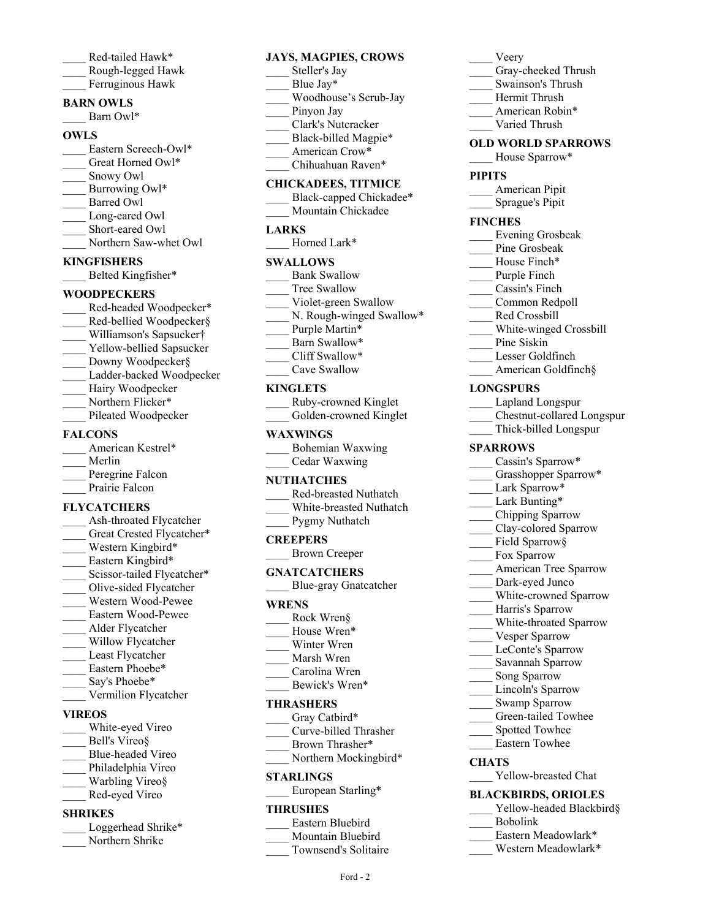- Red-tailed Hawk\* \_\_\_\_ Rough-legged Hawk
- Ferruginous Hawk
- **BARN OWLS**
	- Barn Owl\*

## **OWLS**

- Eastern Screech-Owl\*
- Great Horned Owl\*
- Snowy Owl
- Burrowing Owl\*
- \_\_\_\_ Barred Owl
- Long-eared Owl
- Short-eared Owl
- Northern Saw-whet Owl

## **KINGFISHERS**

\_\_\_\_ Belted Kingfisher\*

## **WOODPECKERS**

Red-headed Woodpecker\* Red-bellied Woodpecker§ \_\_\_\_ Williamson's Sapsucker† Yellow-bellied Sapsucker Downy Woodpecker§ Ladder-backed Woodpecker Hairy Woodpecker Northern Flicker\* Pileated Woodpecker

## **FALCONS**

| American Kestrel* |
|-------------------|
| Merlin            |
| Peregrine Falcon  |
| Prairie Falcon    |
|                   |

## **FLYCATCHERS**

Ash-throated Flycatcher Great Crested Flycatcher\* Western Kingbird\* Eastern Kingbird\* Scissor-tailed Flycatcher\* \_\_\_\_ Olive-sided Flycatcher \_\_\_\_ Western Wood-Pewee \_\_\_\_ Eastern Wood-Pewee \_\_\_\_ Alder Flycatcher Willow Flycatcher Least Flycatcher Eastern Phoebe\* Say's Phoebe\* Vermilion Flycatcher **VIREOS** White-eyed Vireo

- Bell's Vireo§ \_\_\_\_ Blue-headed Vireo Philadelphia Vireo Warbling Vireo§
- \_\_\_\_ Red-eyed Vireo

## **SHRIKES**

| Loggerhead Shrike* |
|--------------------|
| Northern Shrike    |

## **JAYS, MAGPIES, CROWS**

- Steller's Jay Blue Jay\* \_\_\_\_ Woodhouse's Scrub-Jay Pinyon Jay \_\_\_\_ Clark's Nutcracker Black-billed Magpie\* American Crow\*
- Chihuahuan Raven\*

## **CHICKADEES, TITMICE**

- Black-capped Chickadee\* Mountain Chickadee
- **LARKS**
	- Horned Lark\*

## **SWALLOWS**

- Bank Swallow
- Tree Swallow
- Violet-green Swallow
- N. Rough-winged Swallow\*
- Purple Martin\*
- Barn Swallow\*
- \_\_\_\_ Cliff Swallow\* Cave Swallow
- 

## **KINGLETS**

| Ruby-crowned Kinglet   |
|------------------------|
| Golden-crowned Kinglet |

## **WAXWlNGS**

| Bohemian Waxwing |
|------------------|
| Cedar Waxwing    |

## **NUTHATCHES**

| Red-breasted Nuthatch   |
|-------------------------|
| White-breasted Nuthatch |

| W HILC-DI CASICO TVULHAN |
|--------------------------|
| Pygmy Nuthatch           |

## **CREEPERS**

\_\_\_\_ Brown Creeper

## **GNATCATCHERS**

\_\_\_\_ Blue-gray Gnatcatcher

## **WRENS**

- Rock Wren§
- House Wren\*
- Winter Wren
- \_\_\_\_ Marsh Wren
- \_\_\_\_ Carolina Wren Bewick's Wren\*

## **THRASHERS**

Gray Catbird\*

- \_\_\_\_ Curve-billed Thrasher
- Brown Thrasher\*
- Northern Mockingbird\*

## **STARLINGS**

European Starling\*

## **THRUSHES**

- \_\_\_\_ Eastern Bluebird
- Mountain Bluebird
	- Townsend's Solitaire

Ford - 2

- \_\_\_\_ Veery
- Gray-cheeked Thrush
- \_\_\_\_ Swainson's Thrush
- \_\_\_\_ Hermit Thrush
- American Robin\*
- \_\_\_\_ Varied Thrush

## **OLD WORLD SPARROWS**

House Sparrow\*

## **PIPITS**

\_\_\_\_ American Pipit \_\_\_\_ Sprague's Pipit

## **FINCHES**

- \_\_\_\_ Evening Grosbeak
- Pine Grosbeak
- House Finch\*
- Purple Finch
- \_\_\_\_ Cassin's Finch
- \_\_\_\_ Common Redpoll
- Red Crossbill
- \_\_\_\_ White-winged Crossbill
- Pine Siskin
- Lesser Goldfinch
- American Goldfinch§

## **LONGSPURS**

- \_\_\_\_ Lapland Longspur
- \_\_\_\_ Chestnut-collared Longspur
- \_\_\_\_ Thick-billed Longspur

## **SPARROWS**

**CHATS**

- Cassin's Sparrow\*
- Grasshopper Sparrow\*

Lark Bunting\* \_\_\_\_ Chipping Sparrow Clay-colored Sparrow Field Sparrow§ Fox Sparrow

American Tree Sparrow Dark-eyed Junco White-crowned Sparrow \_\_\_\_ Harris's Sparrow \_\_\_\_ White-throated Sparrow Vesper Sparrow LeConte's Sparrow \_\_\_\_ Savannah Sparrow Song Sparrow Lincoln's Sparrow Swamp Sparrow Green-tailed Towhee Spotted Towhee \_\_\_\_ Eastern Towhee

Yellow-breasted Chat **BLACKBIRDS, ORIOLES**

> Eastern Meadowlark\* \_\_\_\_ Western Meadowlark\*

\_\_\_\_ Bobolink

Yellow-headed Blackbird§

Lark Sparrow\*